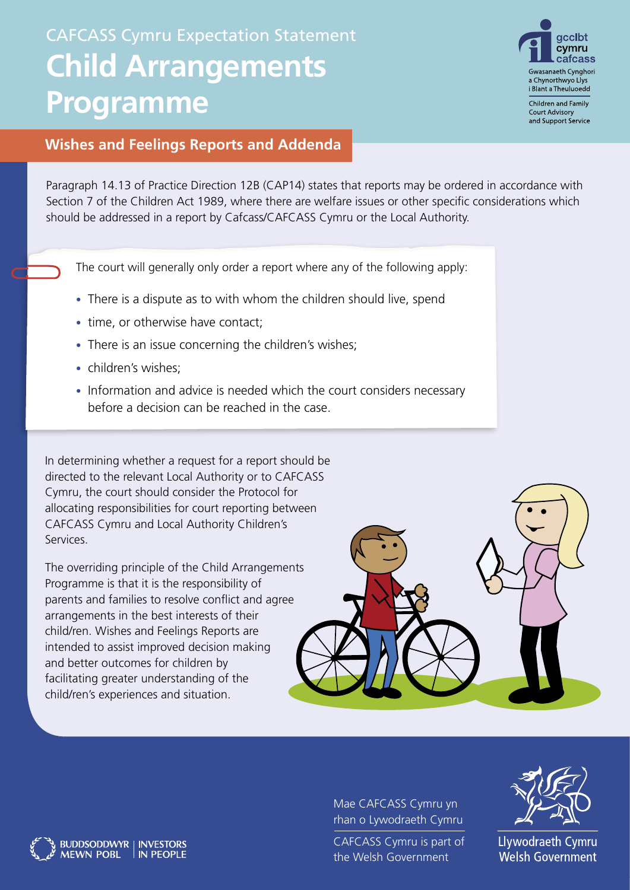# CAFCASS Cymru Expectation Statement **Child Arrangements Programme**



**Court Advisory** and Support Service

### **Wishes and Feelings Reports and Addenda**

Paragraph 14.13 of Practice Direction 12B (CAP14) states that reports may be ordered in accordance with Section 7 of the Children Act 1989, where there are welfare issues or other specific considerations which should be addressed in a report by Cafcass/CAFCASS Cymru or the Local Authority.

The court will generally only order a report where any of the following apply:

- There is a dispute as to with whom the children should live, spend
- time, or otherwise have contact;
- There is an issue concerning the children's wishes;
- children's wishes:
- Information and advice is needed which the court considers necessary before a decision can be reached in the case.

In determining whether a request for a report should be directed to the relevant Local Authority or to CAFCASS Cymru, the court should consider the Protocol for allocating responsibilities for court reporting between CAFCASS Cymru and Local Authority Children's Services.

The overriding principle of the Child Arrangements Programme is that it is the responsibility of parents and families to resolve conflict and agree arrangements in the best interests of their child/ren. Wishes and Feelings Reports are intended to assist improved decision making and better outcomes for children by facilitating greater understanding of the child/ren's experiences and situation.

BUDDSODDWYR | INVESTORS<br>MEWN POBL | IN PEOPLE

**MEWN POBL** 



Mae CAFCASS Cymru yn rhan o Lywodraeth Cymru

CAFCASS Cymru is part of the Welsh Government



Llywodraeth Cymru **Welsh Government**